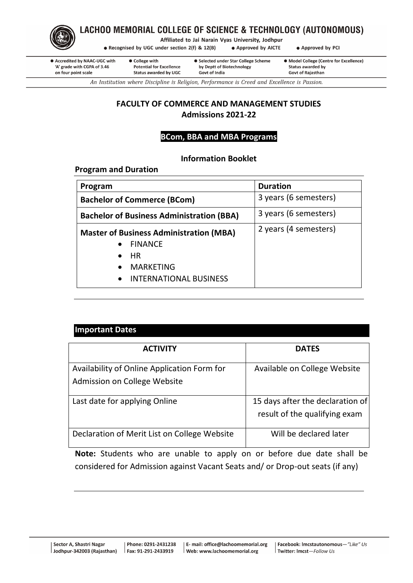

# LACHOO MEMORIAL COLLEGE OF SCIENCE & TECHNOLOGY (AUTONOMOUS)

Affiliated to Jai Narain Vyas University, Jodhpur

• Recognised by UGC under section 2(f) & 12(B) • Approved by AICTE

• Approved by PCI

● Accredited by NAAC-UGC with 'A' grade with CGPA of 3.46 on four point scale

• College with **Potential for Excellence Status awarded by UGC** 

● Selected under Star College Scheme by Deptt of Biotechnology **Govt of India** 

• Model College (Centre for Excellence) **Status awarded by Govt of Raiasthan** 

An Institution where Discipline is Religion, Performance is Creed and Excellence is Passion.

# **FACULTY OF COMMERCE AND MANAGEMENT STUDIES Admissions 2021-22**

# **BCom, BBA and MBA Programs**

# **Information Booklet**

**Program and Duration**

| Program                                                                   | <b>Duration</b>       |  |
|---------------------------------------------------------------------------|-----------------------|--|
| <b>Bachelor of Commerce (BCom)</b>                                        | 3 years (6 semesters) |  |
| 3 years (6 semesters)<br><b>Bachelor of Business Administration (BBA)</b> |                       |  |
| <b>Master of Business Administration (MBA)</b>                            | 2 years (4 semesters) |  |
| • FINANCE                                                                 |                       |  |
| $\bullet$ HR                                                              |                       |  |
| <b>MARKETING</b><br>$\bullet$                                             |                       |  |
| <b>INTERNATIONAL BUSINESS</b><br>$\bullet$                                |                       |  |

| <b>Important Dates</b>                                                      |                                                                   |  |  |  |
|-----------------------------------------------------------------------------|-------------------------------------------------------------------|--|--|--|
| <b>ACTIVITY</b>                                                             | <b>DATES</b>                                                      |  |  |  |
| Availability of Online Application Form for<br>Admission on College Website | Available on College Website                                      |  |  |  |
| Last date for applying Online                                               | 15 days after the declaration of<br>result of the qualifying exam |  |  |  |
| Declaration of Merit List on College Website                                | Will be declared later                                            |  |  |  |

**Note:** Students who are unable to apply on or before due date shall be considered for Admission against Vacant Seats and/ or Drop-out seats (if any)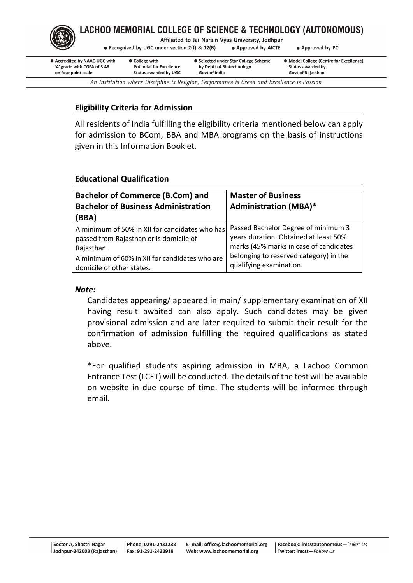

# LACHOO MEMORIAL COLLEGE OF SCIENCE & TECHNOLOGY (AUTONOMOUS)

Affiliated to Jai Narain Vyas University, Jodhpur

• Recognised by UGC under section 2(f) & 12(B)

• Approved by AICTE • Approved by PCI

| ● Accredited by NAAC-UGC with                                                                | ● College with                  | • Selected under Star College Scheme | • Model College (Centre for Excellence) |  |
|----------------------------------------------------------------------------------------------|---------------------------------|--------------------------------------|-----------------------------------------|--|
| 'A' grade with CGPA of 3.46                                                                  | <b>Potential for Excellence</b> | by Deptt of Biotechnology            | Status awarded by                       |  |
| on four point scale                                                                          | <b>Status awarded by UGC</b>    | Govt of India                        | <b>Govt of Rajasthan</b>                |  |
| An Institution where Discipline is Religion, Performance is Creed and Excellence is Passion. |                                 |                                      |                                         |  |

# **Eligibility Criteria for Admission**

All residents of India fulfilling the eligibility criteria mentioned below can apply for admission to BCom, BBA and MBA programs on the basis of instructions given in this Information Booklet.

## **Educational Qualification**

| <b>Bachelor of Commerce (B.Com) and</b><br><b>Bachelor of Business Administration</b><br>(BBA) | <b>Master of Business</b><br><b>Administration (MBA)*</b> |
|------------------------------------------------------------------------------------------------|-----------------------------------------------------------|
| A minimum of 50% in XII for candidates who has                                                 | Passed Bachelor Degree of minimum 3                       |
| passed from Rajasthan or is domicile of                                                        | years duration. Obtained at least 50%                     |
| Rajasthan.                                                                                     | marks (45% marks in case of candidates                    |
| A minimum of 60% in XII for candidates who are                                                 | belonging to reserved category) in the                    |
| domicile of other states.                                                                      | qualifying examination.                                   |

## *Note:*

Candidates appearing/ appeared in main/ supplementary examination of XII having result awaited can also apply. Such candidates may be given provisional admission and are later required to submit their result for the confirmation of admission fulfilling the required qualifications as stated above.

\*For qualified students aspiring admission in MBA, a Lachoo Common Entrance Test (LCET) will be conducted. The details of the test will be available on website in due course of time. The students will be informed through email.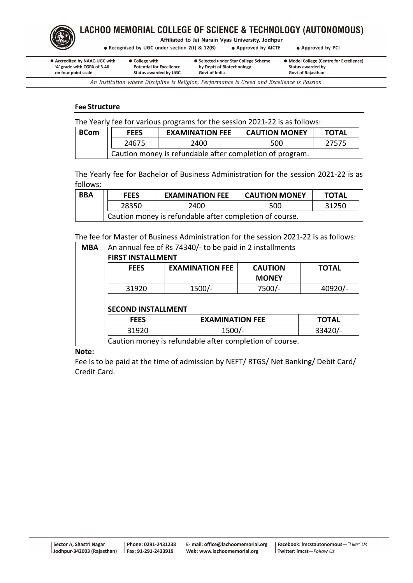

Affiliated to Jai Narain Vyas University, Jodhpur

• Recognised by UGC under section 2(f) & 12(B) • Approved by AICTE • Approved by PCI

• Accredited by NAAC-UGC with • College with 'A' grade with CGPA of 3.46 **Potential for Excellence** on four point scale **Status awarded by UGC**  ● Selected under Star College Scheme by Deptt of Biotechnology **Govt of India** 

• Model College (Centre for Excellence) **Status awarded by Govt of Raiasthan** 

An Institution where Discipline is Religion, Performance is Creed and Excellence is Passion.

## **Fee Structure**

|  | The Yearly fee for various programs for the session 2021-22 is as follows: |  |
|--|----------------------------------------------------------------------------|--|
|  |                                                                            |  |
|  |                                                                            |  |

| <b>BCom</b> | <b>FEES</b>                                              | <b>EXAMINATION FEE</b> | <b>CAUTION MONEY</b> | <b>TOTAL</b> |
|-------------|----------------------------------------------------------|------------------------|----------------------|--------------|
|             | 24675                                                    | 2400                   | 500                  | 27575        |
|             | Caution money is refundable after completion of program. |                        |                      |              |

The Yearly fee for Bachelor of Business Administration for the session 2021-22 is as follows:

| <b>BBA</b> | <b>FEES</b>                                             | <b>EXAMINATION FEE</b> | <b>CAUTION MONEY</b> | <b>TOTAL</b> |
|------------|---------------------------------------------------------|------------------------|----------------------|--------------|
|            | 28350                                                   | 2400                   | 500                  | 31250        |
|            | Caution money is refundable after completion of course. |                        |                      |              |

The fee for Master of Business Administration for the session 2021-22 is as follows:

| <b>MBA</b> | An annual fee of Rs 74340/- to be paid in 2 installments |                        |  |              |  |
|------------|----------------------------------------------------------|------------------------|--|--------------|--|
|            | <b>FIRST INSTALLMENT</b>                                 |                        |  |              |  |
|            | <b>FEES</b>                                              | <b>TOTAL</b>           |  |              |  |
|            |                                                          |                        |  |              |  |
|            | 7500/-<br>$1500/-$<br>31920                              |                        |  |              |  |
|            |                                                          |                        |  | 40920/-      |  |
|            | <b>SECOND INSTALLMENT</b>                                |                        |  |              |  |
|            | <b>FEES</b>                                              | <b>EXAMINATION FEE</b> |  | <b>TOTAL</b> |  |
|            | 31920                                                    | $1500/-$               |  | 33420/-      |  |

**Note:**

Fee is to be paid at the time of admission by NEFT/ RTGS/ Net Banking/ Debit Card/ Credit Card.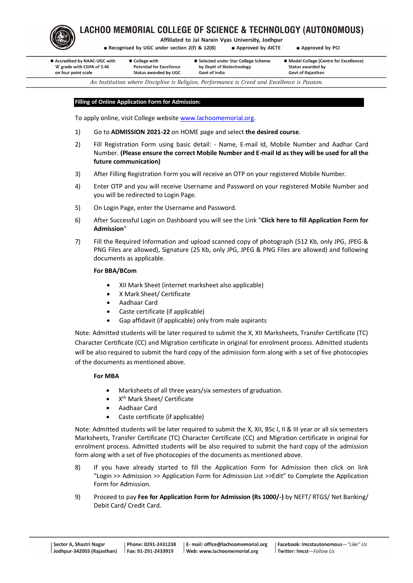

Affiliated to Jai Narain Vyas University, Jodhpur

• Recognised by UGC under section 2(f) & 12(B) • Approved by AICTE • Approved by PCI

| ● Accredited by NAAC-UGC with | • College with                  | • Selected under Star College Scheme | • Model College (Centre for Excellence) |
|-------------------------------|---------------------------------|--------------------------------------|-----------------------------------------|
| 'A' grade with CGPA of 3.46   | <b>Potential for Excellence</b> | by Deptt of Biotechnology            | Status awarded by                       |
| on four point scale           | <b>Status awarded by UGC</b>    | Govt of India                        | <b>Govt of Rajasthan</b>                |
|                               | .                               |                                      |                                         |

An Institution where Discipline is Religion, Performance is Creed and Excellence is Passion.

#### **Filling of Online Application Form for Admission:**

To apply online, visit College website [www.lachoomemorial.org.](http://www.lachoomemorial.org/)

- 1) Go to **ADMISSION 2021-22** on HOME page and select **the desired course**.
- 2) Fill Registration Form using basic detail: Name, E-mail Id, Mobile Number and Aadhar Card Number. **(Please ensure the correct Mobile Number and E-mail Id as they will be used for all the future communication)**
- 3) After Filling Registration Form you will receive an OTP on your registered Mobile Number.
- 4) Enter OTP and you will receive Username and Password on your registered Mobile Number and you will be redirected to Login Page.
- 5) On Login Page, enter the Username and Password.
- 6) After Successful Login on Dashboard you will see the Link "**Click here to fill Application Form for Admission**"
- 7) Fill the Required Information and upload scanned copy of photograph (512 Kb, only JPG, JPEG & PNG Files are allowed), Signature (25 Kb, only JPG, JPEG & PNG Files are allowed) and following documents as applicable.

### **For BBA/BCom**

- XII Mark Sheet (internet marksheet also applicable)
- X Mark Sheet/ Certificate
- Aadhaar Card
- Caste certificate (if applicable)
- Gap affidavit (if applicable) only from male aspirants

Note: Admitted students will be later required to submit the X, XII Marksheets, Transfer Certificate (TC) Character Certificate (CC) and Migration certificate in original for enrolment process. Admitted students will be also required to submit the hard copy of the admission form along with a set of five photocopies of the documents as mentioned above.

## **For MBA**

- Marksheets of all three years/six semesters of graduation.
- X<sup>th</sup> Mark Sheet/ Certificate
- Aadhaar Card
- Caste certificate (if applicable)

Note: Admitted students will be later required to submit the X, XII, BSc I, II & III year or all six semesters Marksheets, Transfer Certificate (TC) Character Certificate (CC) and Migration certificate in original for enrolment process. Admitted students will be also required to submit the hard copy of the admission form along with a set of five photocopies of the documents as mentioned above.

- 8) If you have already started to fill the Application Form for Admission then click on link "Login >> Admission >> Application Form for Admission List >>Edit" to Complete the Application Form for Admission.
- 9) Proceed to pay **Fee for Application Form for Admission (Rs 1000/-)** by NEFT/ RTGS/ Net Banking/ Debit Card/ Credit Card.